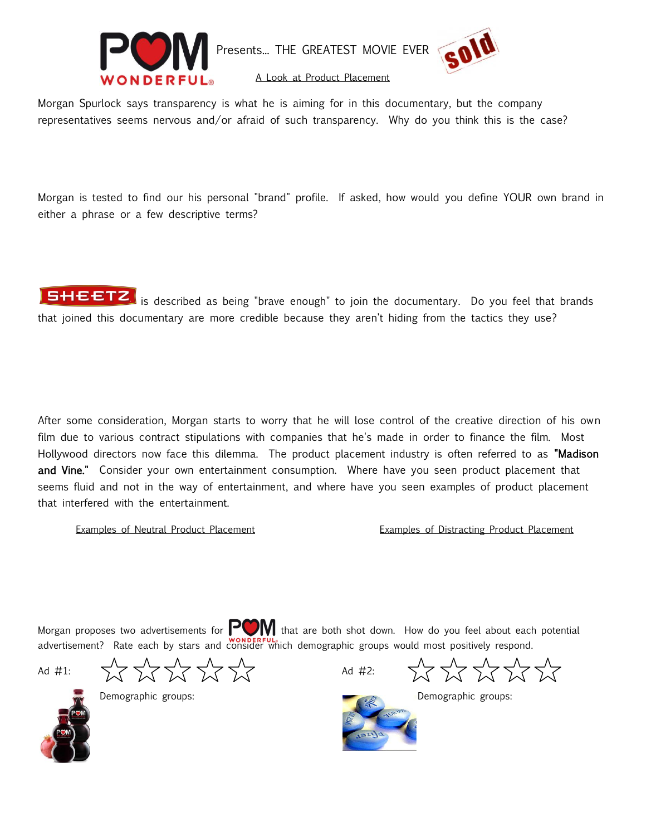

Presents... THE GREATEST MOVIE EVER



A Look at Product Placement

Morgan Spurlock says transparency is what he is aiming for in this documentary, but the company representatives seems nervous and/or afraid of such transparency. Why do you think this is the case?

Morgan is tested to find our his personal "brand" profile. If asked, how would you define YOUR own brand in either a phrase or a few descriptive terms?

**SHEETZ** is described as being "brave enough" to join the documentary. Do you feel that brands that joined this documentary are more credible because they aren't hiding from the tactics they use?

After some consideration, Morgan starts to worry that he will lose control of the creative direction of his own film due to various contract stipulations with companies that he's made in order to finance the film. Most Hollywood directors now face this dilemma. The product placement industry is often referred to as "Madison and Vine." Consider your own entertainment consumption. Where have you seen product placement that seems fluid and not in the way of entertainment, and where have you seen examples of product placement that interfered with the entertainment.

Examples of Neutral Product Placement **Examples of Distracting Product Placement** 

Morgan proposes two advertisements for  $\Box$  that are both shot down. How do you feel about each potential advertisement? Rate each by stars and consider which demographic groups would most positively respond.

Ad #1:  $\begin{matrix} 1 & 1 & 1 \ 1 & 1 & 1 \end{matrix}$   $\begin{matrix} 1 & 1 & 1 \ 1 & 1 & 1 \end{matrix}$   $\begin{matrix} 1 & 1 & 1 \ 1 & 1 & 1 \end{matrix}$   $\begin{matrix} 1 & 1 & 1 \ 1 & 1 & 1 \end{matrix}$   $\begin{matrix} 1 & 1 & 1 \ 1 & 1 & 1 \end{matrix}$   $\begin{matrix} 1 & 1 & 1 \ 1 & 1 & 1 \end{matrix}$   $\begin{matrix} 1 & 1 & 1 \ 1 & 1 & 1 \end{matrix}$   $\begin{$ 



K K K K K

Demographic groups: **Demographic groups:** Demographic groups: